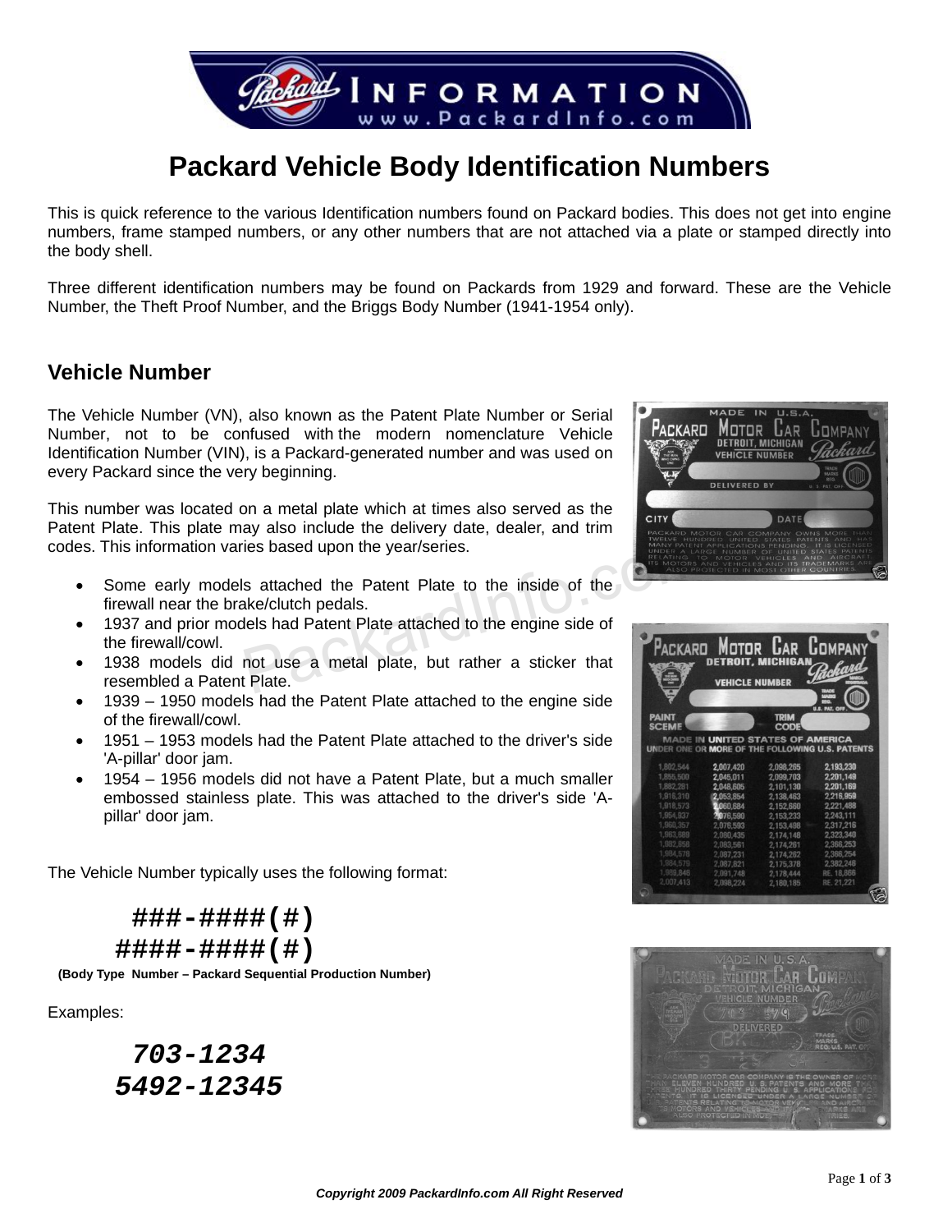

# **Packard Vehicle Body Identification Numbers**

This is quick reference to the various Identification numbers found on Packard bodies. This does not get into engine numbers, frame stamped numbers, or any other numbers that are not attached via a plate or stamped directly into the body shell.

Three different identification numbers may be found on Packards from 1929 and forward. These are the Vehicle Number, the Theft Proof Number, and the Briggs Body Number (1941-1954 only).

#### **Vehicle Number**

The Vehicle Number (VN), also known as the Patent Plate Number or Serial Number, not to be confused with the modern nomenclature Vehicle Identification Number (VIN), is a Packard-generated number and was used on every Packard since the very beginning.

This number was located on a metal plate which at times also served as the Patent Plate. This plate may also include the delivery date, dealer, and trim codes. This information varies based upon the year/series.

- Some early models attached the Patent Plate to the inside of the firewall near the brake/clutch pedals. The state of the Sased upon the year/series.<br>
Sattached the Patent Plate to the inside of the<br>
Idea is had Patent Plate attached to the engine side of<br>
not use a metal plate, but rather a sticker that<br>
Plate.
- 1937 and prior models had Patent Plate attached to the engine side of the firewall/cowl.
- 1938 models did not use a metal plate, but rather a sticker that resembled a Patent Plate.
- 1939 1950 models had the Patent Plate attached to the engine side of the firewall/cowl.
- 1951 1953 models had the Patent Plate attached to the driver's side 'A-pillar' door jam.
- 1954 1956 models did not have a Patent Plate, but a much smaller embossed stainless plate. This was attached to the driver's side 'Apillar' door jam.

The Vehicle Number typically uses the following format:

 **###-####(#) ####-####(#)** 

 **(Body Type Number – Packard Sequential Production Number)**

Examples:

 *703-1234 5492-12345* 





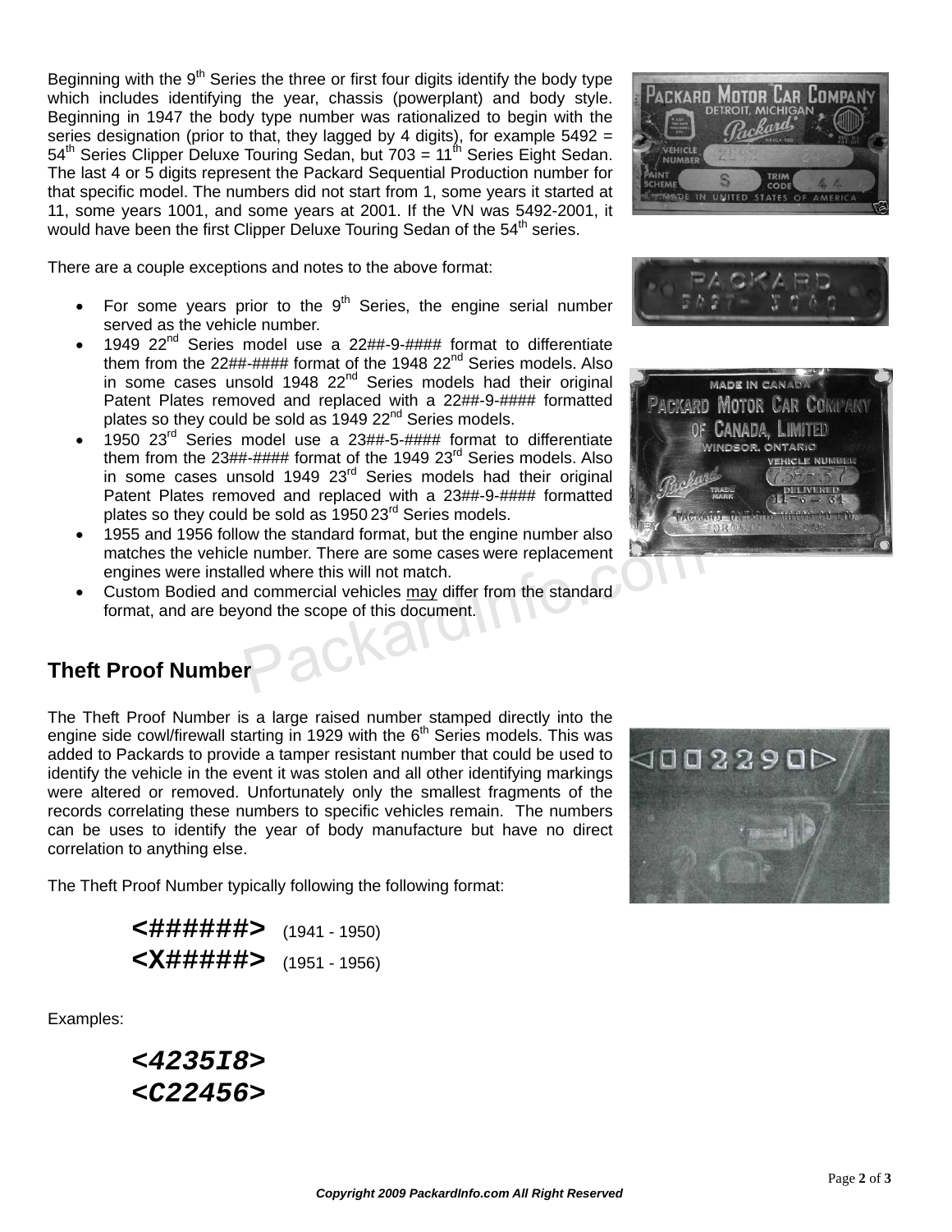Beginning with the  $9<sup>th</sup>$  Series the three or first four digits identify the body type which includes identifying the year, chassis (powerplant) and body style. Beginning in 1947 the body type number was rationalized to begin with the series designation (prior to that, they lagged by 4 digits), for example 5492 =  $54<sup>th</sup>$  Series Clipper Deluxe Touring Sedan, but 703 = 11<sup>th</sup> Series Eight Sedan. The last 4 or 5 digits represent the Packard Sequential Production number for that specific model. The numbers did not start from 1, some years it started at 11, some years 1001, and some years at 2001. If the VN was 5492-2001, it would have been the first Clipper Deluxe Touring Sedan of the  $54<sup>th</sup>$  series.

There are a couple exceptions and notes to the above format:

- For some years prior to the  $9<sup>th</sup>$  Series, the engine serial number served as the vehicle number.
- 1949  $22^{nd}$  Series model use a  $22#4-9-44+4$  format to differentiate them from the  $22\#4\#4\#4$  format of the 1948  $22<sup>nd</sup>$  Series models. Also in some cases unsold 1948  $22<sup>nd</sup>$  Series models had their original Patent Plates removed and replaced with a 22##-9-#### formatted plates so they could be sold as  $1949 22<sup>nd</sup>$  Series models.
- 1950 23rd Series model use a 23##-5-#### format to differentiate them from the  $23\#4\#4\#4$  format of the 1949  $23<sup>rd</sup>$  Series models. Also in some cases unsold 1949 23<sup>rd</sup> Series models had their original Patent Plates removed and replaced with a 23##-9-#### formatted plates so they could be sold as 1950 23<sup>rd</sup> Series models.
- 1955 and 1956 follow the standard format, but the engine number also matches the vehicle number. There are some cases were replacement engines were installed where this will not match. Fraction of the same cases were replacement<br>
Intervalse where this will not match.<br>
I commercial vehicles <u>may</u> differ from the standard<br>
I commercial vehicles <u>may</u> differ from the standard<br>
Intervalse of this document.
- Custom Bodied and commercial vehicles may differ from the standard format, and are beyond the scope of this document.







# **Theft Proof Number**

The Theft Proof Number is a large raised number stamped directly into the engine side cowl/firewall starting in 1929 with the  $6<sup>th</sup>$  Series models. This was added to Packards to provide a tamper resistant number that could be used to identify the vehicle in the event it was stolen and all other identifying markings were altered or removed. Unfortunately only the smallest fragments of the records correlating these numbers to specific vehicles remain. The numbers can be uses to identify the year of body manufacture but have no direct correlation to anything else.

The Theft Proof Number typically following the following format:

| <#######> (1941 - 1950) |  |
|-------------------------|--|
|                         |  |

Examples:

 *<4235I8> <C22456>*